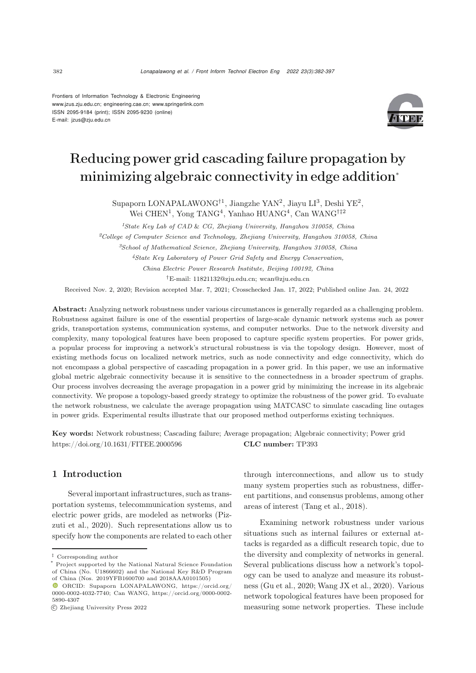Frontiers of Information Technology & Electronic Engineering [www.jzus.zju.edu.cn;](www.jzus.zju.edu.cn) [engineering.cae.cn;](engineering.cae.cn)<www.springerlink.com> ISSN 2095-9184 (print); ISSN 2095-9230 (online) E-mail: jzus@zju.edu.cn



# Reducing power grid cascading failure propagation by minimizing algebraic connectivity in edge addition<sup>∗</sup>

Supaporn LONAPALAWONG<sup>†1</sup>, Jiangzhe YAN<sup>2</sup>, Jiayu LI<sup>3</sup>, Deshi YE<sup>2</sup>, Wei CHEN<sup>1</sup>, Yong TANG<sup>4</sup>, Yanhao HUANG<sup>4</sup>, Can WANG<sup>†‡2</sup>

*State Key Lab of CAD* & *CG, Zhejiang University, Hangzhou 310058, China College of Computer Science and Technology, Zhejiang University, Hangzhou 310058, China School of Mathematical Science, Zhejiang University, Hangzhou 310058, China State Key Laboratory of Power Grid Safety and Energy Conservation, China Electric Power Research Institute, Beijing 100192, China* †E-mail: 11821132@zju.edu.cn; wcan@zju.edu.cn

Received Nov. 2, 2020; Revision accepted Mar. 7, 2021; Crosschecked Jan. 17, 2022; Published online Jan. 24, 2022

Abstract: Analyzing network robustness under various circumstances is generally regarded as a challenging problem. Robustness against failure is one of the essential properties of large-scale dynamic network systems such as power grids, transportation systems, communication systems, and computer networks. Due to the network diversity and complexity, many topological features have been proposed to capture specific system properties. For power grids, a popular process for improving a network's structural robustness is via the topology design. However, most of existing methods focus on localized network metrics, such as node connectivity and edge connectivity, which do not encompass a global perspective of cascading propagation in a power grid. In this paper, we use an informative global metric algebraic connectivity because it is sensitive to the connectedness in a broader spectrum of graphs. Our process involves decreasing the average propagation in a power grid by minimizing the increase in its algebraic connectivity. We propose a topology-based greedy strategy to optimize the robustness of the power grid. To evaluate the network robustness, we calculate the average propagation using MATCASC to simulate cascading line outages in power grids. Experimental results illustrate that our proposed method outperforms existing techniques.

Key words: Network robustness; Cascading failure; Average propagation; Algebraic connectivity; Power grid https://doi.org/10.1631/FITEE.2000596 CLC number: TP393

## 1 Introduction

Several important infrastructures, such as transportation systems, telecommunication systems, and electric p[ower](#page-15-0) [grids,](#page-15-0) [are](#page-15-0) [modeled](#page-15-0) [as](#page-15-0) [networks](#page-15-0) [\(](#page-15-0)Pizzuti et al., [2020\)](#page-15-0). Such representations allow us to specify how the components are related to each other through interconnections, and allow us to study many system properties such as robustness, different partitions, and consensus problems, among other areas of interest [\(Tang et al.](#page-15-1), [2018](#page-15-1)).

Examining network robustness under various situations such as internal failures or external attacks is regarded as a difficult research topic, due to the diversity and complexity of networks in general. Several publications discuss how a network's topology can be used to analyze and measure its robustness [\(Gu et al., 2020](#page-14-0); [Wang JX et al., 2020\)](#page-15-2). Various network topological features have been proposed for measuring some network properties. These include

*<sup>‡</sup>* Corresponding author

<sup>\*</sup> Project supported by the National Natural Science Foundation of China (No. U1866602) and the National Key R&D Program of China (Nos. 2019YFB1600700 and 2018AAA0101505)

ORCID: Supaporn LONAPALAWONG, https://orcid.org/ 0000-0002-4032-7740; Can WANG, https://orcid.org/0000-0002- 5890-4307

c Zhejiang University Press 2022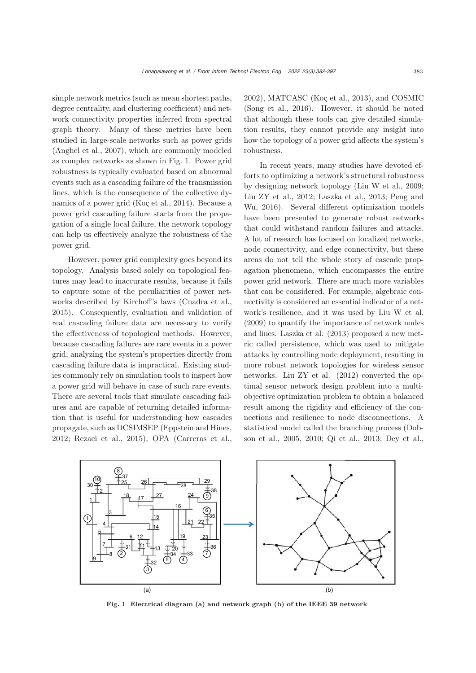simple network metrics (such as mean shortest paths, degree centrality, and clustering coefficient) and network connectivity properties inferred from spectral graph theory. Many of these metrics have been studied in large-scale networks such as power grids [\(Anghel et al.](#page-13-0), [2007](#page-13-0)), which are commonly modeled as complex networks as shown in Fig. [1.](#page-1-0) Power grid robustness is typically evaluated based on abnormal events such as a cascading failure of the transmission lines, which is the consequence of the collective dynamics of a power grid [\(Koç et al.](#page-14-1), [2014\)](#page-14-1). Because a power grid cascading failure starts from the propagation of a single local failure, the network topology can help us effectively analyze the robustness of the power grid.

However, power grid complexity goes beyond its topology. Analysis based solely on topological features may lead to inaccurate results, because it fails to capture some of the peculiarities of power networks described by Kirchoff's laws [\(Cuadra et al.](#page-14-2), [2015](#page-14-2)). Consequently, evaluation and validation of real cascading failure data are necessary to verify the effectiveness of topological methods. However, because cascading failures are rare events in a power grid, analyzing the system's properties directly from cascading failure data is impractical. Existing studies commonly rely on simulation tools to inspect how a power grid will behave in case of such rare events. There are several tools that simulate cascading failures and are capable of returning detailed information that is useful for understanding how cascades propagate, such as DCSIMSEP [\(Eppstein and Hines](#page-14-3), [2012](#page-14-3); [Rezaei et al., 2015\)](#page-15-3), OPA [\(Carreras et al.](#page-13-1),

[2002](#page-13-1)), MATCASC [\(Koç et al., 2013\)](#page-14-4), and COSMIC [\(Song et al.](#page-15-4), [2016\)](#page-15-4). However, it should be noted that although these tools can give detailed simulation results, they cannot provide any insight into how the topology of a power grid affects the system's robustness.

In recent years, many studies have devoted efforts to optimizing a network's structural robustness by designing network topology [\(Liu W et al.](#page-14-5), [2009;](#page-14-5) [Liu ZY et al., 2012;](#page-14-6) [Laszka et al.](#page-14-7)[,](#page-15-5) [2013;](#page-14-7) Peng and Wu, [2016\)](#page-15-5). Several different optimization models have been presented to generate robust networks that could withstand random failures and attacks. A lot of research has focused on localized networks, node connectivity, and edge connectivity, but these areas do not tell the whole story of cascade propagation phenomena, which encompasses the entire power grid network. There are much more variables that can be considered. For example, algebraic connectivity is considered an essential indicator of a network's resilience, and it was used by Liu W et al. (2009) to quantify the importance of network nodes and lines. Laszka et al. (2013) proposed a new metric called persistence, which was used to mitigate attacks by controlling node deployment, resulting in more robust network topologies for wireless sensor networks. Liu ZY et al. (2012) converted the optimal sensor network design problem into a multiobjective optimization problem to obtain a balanced result among the rigidity and efficiency of the connections and resilience to node disconnections. A statistical model called the branching process (Dobson et al., 2005, 2010; Qi et al., 2013; Dey et al.,



<span id="page-1-0"></span>Fig. 1 Electrical diagram (a) and network graph (b) of the IEEE 39 network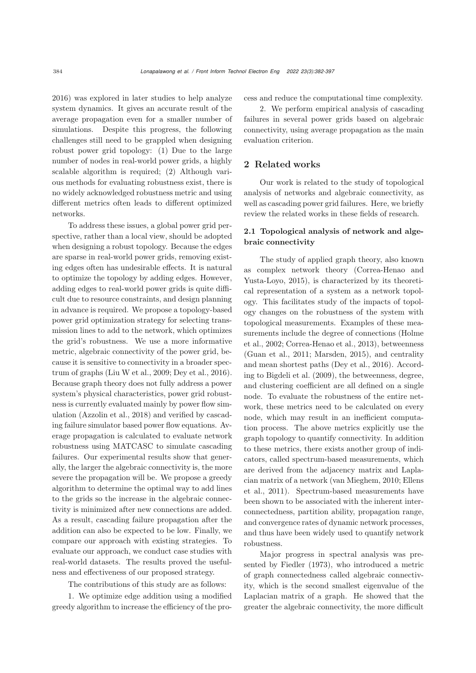2016) was explored in later studies to help analyze system dynamics. It gives an accurate result of the average propagation even for a smaller number of simulations. Despite this progress, the following challenges still need to be grappled when designing robust power grid topology: (1) Due to the large number of nodes in real-world power grids, a highly scalable algorithm is required; (2) Although various methods for evaluating robustness exist, there is no widely acknowledged robustness metric and using different metrics often leads to different optimized networks.

To address these issues, a global power grid perspective, rather than a local view, should be adopted when designing a robust topology. Because the edges are sparse in real-world power grids, removing existing edges often has undesirable effects. It is natural to optimize the topology by adding edges. However, adding edges to real-world power grids is quite difficult due to resource constraints, and design planning in advance is required. We propose a topology-based power grid optimization strategy for selecting transmission lines to add to the network, which optimizes the grid's robustness. We use a more informative metric, algebraic connectivity of the power grid, because it is sensitive to connectivity in a broader spectrum of graphs [\(Liu W et al.](#page-14-5), [2009;](#page-14-5) [Dey et al.](#page-14-8), [2016\)](#page-14-8). Because graph theory does not fully address a power system's physical characteristics, power grid robustness is currently evaluated mainly by power flow simulation [\(Azzolin et al.](#page-13-2), [2018](#page-13-2)) and verified by cascading failure simulator based power flow equations. Average propagation is calculated to evaluate network robustness using MATCASC to simulate cascading failures. Our experimental results show that generally, the larger the algebraic connectivity is, the more severe the propagation will be. We propose a greedy algorithm to determine the optimal way to add lines to the grids so the increase in the algebraic connectivity is minimized after new connections are added. As a result, cascading failure propagation after the addition can also be expected to be low. Finally, we compare our approach with existing strategies. To evaluate our approach, we conduct case studies with real-world datasets. The results proved the usefulness and effectiveness of our proposed strategy.

The contributions of this study are as follows:

1. We optimize edge addition using a modified greedy algorithm to increase the efficiency of the process and reduce the computational time complexity.

2. We perform empirical analysis of cascading failures in several power grids based on algebraic connectivity, using average propagation as the main evaluation criterion.

## 2 Related works

Our work is related to the study of topological analysis of networks and algebraic connectivity, as well as cascading power grid failures. Here, we briefly review the related works in these fields of research.

## 2.1 Topological analysis of network and algebraic connectivity

The study of applied graph theory, also known as comple[x](#page-14-9) [network](#page-14-9) [theory](#page-14-9) [\(](#page-14-9)Correa-Henao and Yusta-Loyo, [2015](#page-14-9)), is characterized by its theoretical representation of a system as a network topology. This facilitates study of the impacts of topology changes on the robustness of the system with topological measurements. Examples of these measure[ments](#page-14-10) [include](#page-14-10) [the](#page-14-10) [degree](#page-14-10) [of](#page-14-10) [connections](#page-14-10) [\(](#page-14-10)Holme et al., [2002](#page-14-10); [Correa-Henao et al.](#page-14-11), [2013\)](#page-14-11), betweenness [\(Guan et al., 2011;](#page-14-12) [Marsden](#page-14-13), [2015\)](#page-14-13), and centrality and mean shortest paths [\(Dey et al.](#page-14-8), [2016\)](#page-14-8). According to [Bigdeli et al.](#page-13-3) [\(2009\)](#page-13-3), the betweenness, degree, and clustering coefficient are all defined on a single node. To evaluate the robustness of the entire network, these metrics need to be calculated on every node, which may result in an inefficient computation process. The above metrics explicitly use the graph topology to quantify connectivity. In addition to these metrics, there exists another group of indicators, called spectrum-based measurements, which are derived from the adjacency matrix and Laplacian [matrix](#page-14-14) [of](#page-14-14) [a](#page-14-14) [network](#page-14-14) [\(van Mieghem](#page-15-6)[,](#page-14-14) [2010](#page-15-6)[;](#page-14-14) Ellens et al., [2011\)](#page-14-14). Spectrum-based measurements have been shown to be associated with the inherent interconnectedness, partition ability, propagation range, and convergence rates of dynamic network processes, and thus have been widely used to quantify network robustness.

Major progress in spectral analysis was presented by Fiedler (1973), who introduced a metric of graph connectedness called algebraic connectivity, which is the second smallest eigenvalue of the Laplacian matrix of a graph. He showed that the greater the algebraic connectivity, the more difficult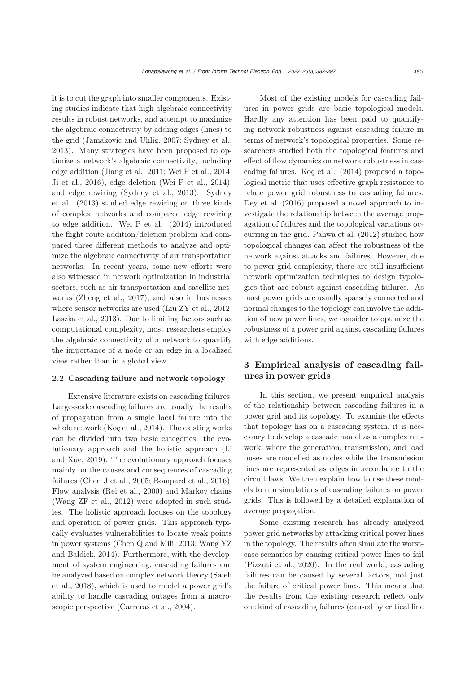it is to cut the graph into smaller components. Existing studies indicate that high algebraic connectivity results in robust networks, and attempt to maximize the algebraic connectivity by adding edges (lines) to the grid [\(Jamakovic and Uhlig](#page-14-15), [2007;](#page-14-15) [Sydney et al.](#page-15-7), [2013](#page-15-7)). Many strategies have been proposed to optimize a network's algebraic connectivity, including edge addition [\(Jiang et al., 2011;](#page-14-16) [Wei P et al., 2014;](#page-15-8) [Ji et al., 2016\)](#page-14-17), edge deletion [\(Wei P et al., 2014\)](#page-15-8), and edge rewiring [\(Sydney et al., 2013\)](#page-15-7). Sydney et al. (2013) studied edge rewiring on three kinds of complex networks and compared edge rewiring to edge addition. Wei P et al. (2014) introduced the flight route addition/deletion problem and compared three different methods to analyze and optimize the algebraic connectivity of air transportation networks. In recent years, some new efforts were also witnessed in network optimization in industrial sectors, such as air transportation and satellite networks [\(Zheng et al.](#page-15-9), [2017](#page-15-9)), and also in businesses where sensor networks are used [\(Liu ZY et al., 2012;](#page-14-6) [Laszka et al., 2013\)](#page-14-7). Due to limiting factors such as computational complexity, most researchers employ the algebraic connectivity of a network to quantify the importance of a node or an edge in a localized view rather than in a global view.

#### 2.2 Cascading failure and network topology

Extensive literature exists on cascading failures. Large-scale cascading failures are usually the results of propagation from a single local failure into the whole network [\(Koç et al.](#page-14-1), [2014](#page-14-1)). The existing works can be divided into two basic categories: the evolutionar[y](#page-14-18) [approach](#page-14-18) [and](#page-14-18) [the](#page-14-18) [holistic](#page-14-18) [approach](#page-14-18) [\(](#page-14-18)Li and Xue, [2019](#page-14-18)). The evolutionary approach focuses mainly on the causes and consequences of cascading failures [\(Chen J et al.](#page-14-19), [2005](#page-14-19); [Bompard et al., 2016\)](#page-13-4). Flow analysis [\(Rei et al., 2000](#page-15-10)) and Markov chains [\(Wang ZF et al., 2012](#page-15-11)) were adopted in such studies. The holistic approach focuses on the topology and operation of power grids. This approach typically evaluates vulnerabilities to locate weak points in power sy[stems](#page-15-12) [\(Chen Q and Mili, 2013](#page-14-20)[;](#page-15-12) Wang YZ and Baldick, [2014](#page-15-12)). Furthermore, with the development of system engineering, cascading failures can be a[nalyzed](#page-15-13) [based](#page-15-13) [on](#page-15-13) [complex](#page-15-13) [network](#page-15-13) [theory](#page-15-13) [\(](#page-15-13)Saleh et al., [2018](#page-15-13)), which is used to model a power grid's ability to handle cascading outages from a macroscopic perspective [\(Carreras et al., 2004\)](#page-14-21).

Most of the existing models for cascading failures in power grids are basic topological models. Hardly any attention has been paid to quantifying network robustness against cascading failure in terms of network's topological properties. Some researchers studied both the topological features and effect of flow dynamics on network robustness in cascading failures. Koç et al. (2014) proposed a topological metric that uses effective graph resistance to relate power grid robustness to cascading failures. [Dey et al.](#page-14-8) [\(2016\)](#page-14-8) proposed a novel approach to investigate the relationship between the average propagation of failures and the topological variations occurring in the grid. [Pahwa et al.](#page-15-14) [\(2012](#page-15-14)) studied how topological changes can affect the robustness of the network against attacks and failures. However, due to power grid complexity, there are still insufficient network optimization techniques to design typologies that are robust against cascading failures. As most power grids are usually sparsely connected and normal changes to the topology can involve the addition of new power lines, we consider to optimize the robustness of a power grid against cascading failures with edge additions.

## 3 Empirical analysis of cascading failures in power grids

In this section, we present empirical analysis of the relationship between cascading failures in a power grid and its topology. To examine the effects that topology has on a cascading system, it is necessary to develop a cascade model as a complex network, where the generation, transmission, and load buses are modelled as nodes while the transmission lines are represented as edges in accordance to the circuit laws. We then explain how to use these models to run simulations of cascading failures on power grids. This is followed by a detailed explanation of average propagation.

Some existing research has already analyzed power grid networks by attacking critical power lines in the topology. The results often simulate the worstcase scenarios by causing critical power lines to fail [\(Pizzuti et al.](#page-15-0), [2020](#page-15-0)). In the real world, cascading failures can be caused by several factors, not just the failure of critical power lines. This means that the results from the existing research reflect only one kind of cascading failures (caused by critical line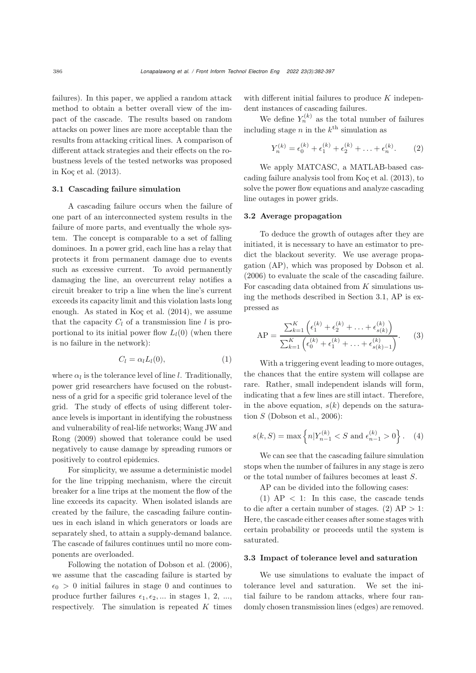failures). In this paper, we applied a random attack method to obtain a better overall view of the impact of the cascade. The results based on random attacks on power lines are more acceptable than the results from attacking critical lines. A comparison of different attack strategies and their effects on the robustness levels of the tested networks was proposed in [Koç et al.](#page-14-4) [\(2013](#page-14-4)).

## <span id="page-4-0"></span>3.1 Cascading failure simulation

A cascading failure occurs when the failure of one part of an interconnected system results in the failure of more parts, and eventually the whole system. The concept is comparable to a set of falling dominoes. In a power grid, each line has a relay that protects it from permanent damage due to events such as excessive current. To avoid permanently damaging the line, an overcurrent relay notifies a circuit breaker to trip a line when the line's current exceeds its capacity limit and this violation lasts long enough. As stated in [Koç et al.](#page-14-1) [\(2014\)](#page-14-1), we assume that the capacity  $C_l$  of a transmission line l is proportional to its initial power flow  $L_l(0)$  (when there is no failure in the network):

$$
C_l = \alpha_l L_l(0), \qquad (1)
$$

where  $\alpha_l$  is the tolerance level of line l. Traditionally, power grid researchers have focused on the robustness of a grid for a specific grid tolerance level of the grid. The study of effects of using different tolerance levels is important in identifying the robustness and [vulnerability](#page-15-15) [of](#page-15-15) [real-life](#page-15-15) [networks;](#page-15-15) Wang JW and Rong [\(2009\)](#page-15-15) showed that tolerance could be used negatively to cause damage by spreading rumors or positively to control epidemics.

For simplicity, we assume a deterministic model for the line tripping mechanism, where the circuit breaker for a line trips at the moment the flow of the line exceeds its capacity. When isolated islands are created by the failure, the cascading failure continues in each island in which generators or loads are separately shed, to attain a supply-demand balance. The cascade of failures continues until no more components are overloaded.

Following the notation of [Dobson et al.](#page-14-22) [\(2006\)](#page-14-22), we assume that the cascading failure is started by  $\epsilon_0 > 0$  initial failures in stage 0 and continues to produce further failures  $\epsilon_1, \epsilon_2, \dots$  in stages 1, 2, ..., respectively. The simulation is repeated  $K$  times with different initial failures to produce  $K$  independent instances of cascading failures.

We define  $Y_n^{(k)}$  as the total number of failures including stage n in the  $k^{\text{th}}$  simulation as

$$
Y_n^{(k)} = \epsilon_0^{(k)} + \epsilon_1^{(k)} + \epsilon_2^{(k)} + \ldots + \epsilon_n^{(k)}.
$$
 (2)

We apply MATCASC, a MATLAB-based cascading failure analysis tool from [Koç et al.](#page-14-4) [\(2013](#page-14-4)), to solve the power flow equations and analyze cascading line outages in power grids.

#### <span id="page-4-1"></span>3.2 Average propagation

To deduce the growth of outages after they are initiated, it is necessary to have an estimator to predict the blackout severity. We use average propagation (AP), which was proposed by [Dobson et al.](#page-14-22) [\(2006](#page-14-22)) to evaluate the scale of the cascading failure. For cascading data obtained from  $K$  simulations using the methods described in Section [3.1,](#page-4-0) AP is expressed as

<span id="page-4-2"></span>
$$
AP = \frac{\sum_{k=1}^{K} \left( \epsilon_1^{(k)} + \epsilon_2^{(k)} + \ldots + \epsilon_{s(k)}^{(k)} \right)}{\sum_{k=1}^{K} \left( \epsilon_0^{(k)} + \epsilon_1^{(k)} + \ldots + \epsilon_{s(k)-1}^{(k)} \right)}.
$$
 (3)

With a triggering event leading to more outages, the chances that the entire system will collapse are rare. Rather, small independent islands will form, indicating that a few lines are still intact. Therefore, in the above equation,  $s(k)$  depends on the saturation  $S$  [\(Dobson et al.](#page-14-22), [2006](#page-14-22)):

$$
s(k, S) = \max\left\{n|Y_{n-1}^{(k)} < S \text{ and } \epsilon_{n-1}^{(k)} > 0\right\}.\tag{4}
$$

We can see that the cascading failure simulation stops when the number of failures in any stage is zero or the total number of failures becomes at least S.

AP can be divided into the following cases:

(1)  $AP < 1$ : In this case, the cascade tends to die after a certain number of stages.  $(2)$  AP  $> 1$ : Here, the cascade either ceases after some stages with certain probability or proceeds until the system is saturated.

#### 3.3 Impact of tolerance level and saturation

We use simulations to evaluate the impact of tolerance level and saturation. We set the initial failure to be random attacks, where four randomly chosen transmission lines (edges) are removed.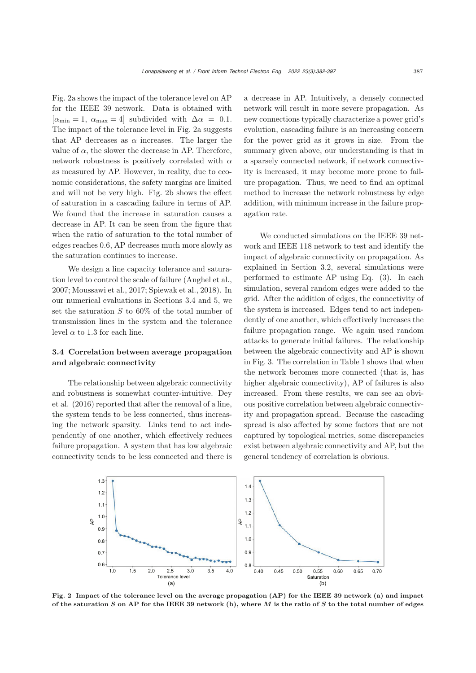Fig. [2a](#page-5-0) shows the impact of the tolerance level on AP for the IEEE 39 network. Data is obtained with  $[\alpha_{\min} = 1, \ \alpha_{\max} = 4]$  subdivided with  $\Delta \alpha = 0.1$ . The impact of the tolerance level in Fig. [2a](#page-5-0) suggests that AP decreases as  $\alpha$  increases. The larger the value of  $\alpha$ , the slower the decrease in AP. Therefore, network robustness is positively correlated with  $\alpha$ as measured by AP. However, in reality, due to economic considerations, the safety margins are limited and will not be very high. Fig. [2b](#page-5-0) shows the effect of saturation in a cascading failure in terms of AP. We found that the increase in saturation causes a decrease in AP. It can be seen from the figure that when the ratio of saturation to the total number of edges reaches 0.6, AP decreases much more slowly as the saturation continues to increase.

We design a line capacity tolerance and saturation level to control the scale of failure [\(Anghel et al.](#page-13-0), [2007](#page-13-0); [Moussawi et al.](#page-15-16), [2017](#page-15-16); [Spiewak et al.](#page-15-17), [2018\)](#page-15-17). In our numerical evaluations in Sections [3.4](#page-5-1) and [5,](#page-8-0) we set the saturation  $S$  to 60% of the total number of transmission lines in the system and the tolerance level  $\alpha$  to 1.3 for each line.

# <span id="page-5-1"></span>3.4 Correlation between average propagation and algebraic connectivity

The relationship between algebraic connectivity and robustness is somewhat counter-intuitive. Dey et al. (2016) reported that after the removal of a line, the system tends to be less connected, thus increasing the network sparsity. Links tend to act independently of one another, which effectively reduces failure propagation. A system that has low algebraic connectivity tends to be less connected and there is a decrease in AP. Intuitively, a densely connected network will result in more severe propagation. As new connections typically characterize a power grid's evolution, cascading failure is an increasing concern for the power grid as it grows in size. From the summary given above, our understanding is that in a sparsely connected network, if network connectivity is increased, it may become more prone to failure propagation. Thus, we need to find an optimal method to increase the network robustness by edge addition, with minimum increase in the failure propagation rate.

We conducted simulations on the IEEE 39 network and IEEE 118 network to test and identify the impact of algebraic connectivity on propagation. As explained in Section [3.2,](#page-4-1) several simulations were performed to estimate AP using Eq. [\(3\)](#page-4-2). In each simulation, several random edges were added to the grid. After the addition of edges, the connectivity of the system is increased. Edges tend to act independently of one another, which effectively increases the failure propagation range. We again used random attacks to generate initial failures. The relationship between the algebraic connectivity and AP is shown in Fig. [3.](#page-6-0) The correlation in Table [1](#page-6-1) shows that when the network becomes more connected (that is, has higher algebraic connectivity), AP of failures is also increased. From these results, we can see an obvious positive correlation between algebraic connectivity and propagation spread. Because the cascading spread is also affected by some factors that are not captured by topological metrics, some discrepancies exist between algebraic connectivity and AP, but the general tendency of correlation is obvious.



<span id="page-5-0"></span>Fig. 2 Impact of the tolerance level on the average propagation (AP) for the IEEE 39 network (a) and impact of the saturation *S* on AP for the IEEE 39 network (b), where *M* is the ratio of *S* to the total number of edges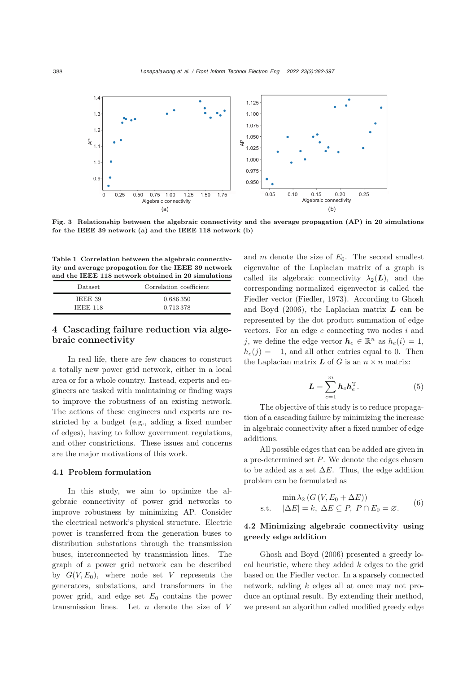

<span id="page-6-0"></span>Fig. 3 Relationship between the algebraic connectivity and the average propagation (AP) in 20 simulations for the IEEE 39 network (a) and the IEEE 118 network (b)

<span id="page-6-1"></span>Table 1 Correlation between the algebraic connectivity and average propagation for the IEEE 39 network and the IEEE 118 network obtained in 20 simulations

| Dataset  | Correlation coefficient |
|----------|-------------------------|
| IEEE 39  | 0.686.350               |
| IEEE 118 | 0.713378                |

# 4 Cascading failure reduction via algebraic connectivity

In real life, there are few chances to construct a totally new power grid network, either in a local area or for a whole country. Instead, experts and engineers are tasked with maintaining or finding ways to improve the robustness of an existing network. The actions of these engineers and experts are restricted by a budget (e.g., adding a fixed number of edges), having to follow government regulations, and other constrictions. These issues and concerns are the major motivations of this work.

#### 4.1 Problem formulation

In this study, we aim to optimize the algebraic connectivity of power grid networks to improve robustness by minimizing AP. Consider the electrical network's physical structure. Electric power is transferred from the generation buses to distribution substations through the transmission buses, interconnected by transmission lines. The graph of a power grid network can be described by  $G(V,E_0)$ , where node set V represents the generators, substations, and transformers in the power grid, and edge set  $E_0$  contains the power transmission lines. Let  $n$  denote the size of  $V$ 

and  $m$  denote the size of  $E_0$ . The second smallest eigenvalue of the Laplacian matrix of a graph is called its algebraic connectivity  $\lambda_2(L)$ , and the corresponding normalized eigenvector is called the Fiedler vector [\(Fiedler](#page-14-23), [1973](#page-14-23)). According to Ghosh and Boyd [\(2006](#page-14-24)), the Laplacian matrix *L* can be represented by the dot product summation of edge vectors. For an edge  $e$  connecting two nodes  $i$  and j, we define the edge vector  $h_e \in \mathbb{R}^n$  as  $h_e(i)=1$ ,  $h_e(j) = -1$ , and all other entries equal to 0. Then the Laplacian matrix  $\boldsymbol{L}$  of  $\boldsymbol{G}$  is an  $n \times n$  matrix:

<span id="page-6-2"></span>
$$
L = \sum_{e=1}^{m} h_e h_e^{\mathrm{T}}.
$$
 (5)

The objective of this study is to reduce propagation of a cascading failure by minimizing the increase in algebraic connectivity after a fixed number of edge additions.

All possible edges that can be added are given in a pre-determined set  $P$ . We denote the edges chosen to be added as a set  $\Delta E$ . Thus, the edge addition problem can be formulated as

$$
\min \lambda_2 (G(V, E_0 + \Delta E))
$$
  
s.t.  $|\Delta E| = k$ ,  $\Delta E \subseteq P$ ,  $P \cap E_0 = \emptyset$ . (6)

## 4.2 Minimizing algebraic connectivity using greedy edge addition

Ghosh and Boyd [\(2006](#page-14-24)) presented a greedy local heuristic, where they added  $k$  edges to the grid based on the Fiedler vector. In a sparsely connected network, adding k edges all at once may not produce an optimal result. By extending their method, we present an algorithm called modified greedy edge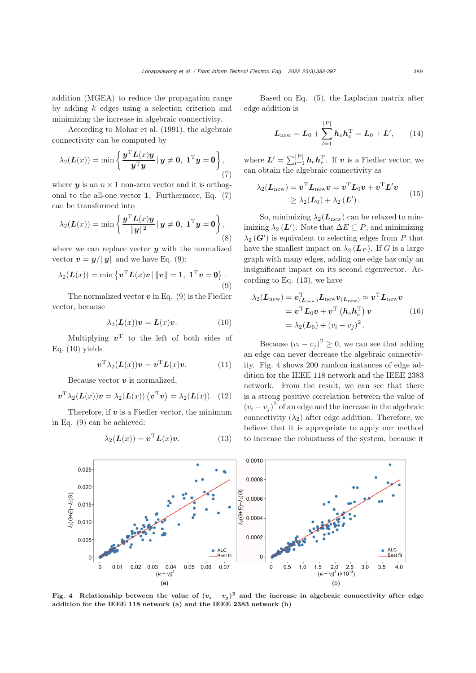addition (MGEA) to reduce the propagation range by adding  $k$  edges using a selection criterion and minimizing the increase in algebraic connectivity.

According to [Mohar et al.](#page-14-25) [\(1991\)](#page-14-25), the algebraic connectivity can be computed by

<span id="page-7-0"></span>
$$
\lambda_2(\mathbf{L}(x)) = \min \left\{ \frac{\mathbf{y}^{\mathrm{T}} \mathbf{L}(x) \mathbf{y}}{\mathbf{y}^{\mathrm{T}} \mathbf{y}} \, | \, \mathbf{y} \neq \mathbf{0}, \, \mathbf{1}^{\mathrm{T}} \mathbf{y} = \mathbf{0} \right\},\tag{7}
$$

where  $y$  is an  $n \times 1$  non-zero vector and it is orthogonal to the all-one vector **1**. Furthermore, Eq. [\(7\)](#page-7-0) can be transformed into

$$
\lambda_2(\mathbf{L}(x)) = \min \left\{ \frac{\mathbf{y}^{\mathrm{T}} \mathbf{L}(x) \mathbf{y}}{\|\mathbf{y}\|^2} \, | \, \mathbf{y} \neq \mathbf{0}, \, \mathbf{1}^{\mathrm{T}} \mathbf{y} = \mathbf{0} \right\},\tag{8}
$$

where we can replace vector *y* with the normalized vector  $\mathbf{v} = \mathbf{y}/\|\mathbf{y}\|$  and we have Eq. [\(9\)](#page-7-1):

<span id="page-7-1"></span>
$$
\lambda_2(\mathbf{L}(x)) = \min \left\{ \mathbf{v}^{\mathrm{T}} \mathbf{L}(x) \mathbf{v} \, | \, \|\mathbf{v}\| = 1, \mathbf{1}^{\mathrm{T}} \mathbf{v} = \mathbf{0} \right\}. \tag{9}
$$

The normalized vector  $v$  in Eq.  $(9)$  is the Fiedler vector, because

<span id="page-7-2"></span>
$$
\lambda_2(\mathbf{L}(x))\mathbf{v} = \mathbf{L}(x)\mathbf{v}.\tag{10}
$$

Multiplying  $v^T$  to the left of both sides of Eq. [\(10\)](#page-7-2) yields

$$
\boldsymbol{v}^{\mathrm{T}}\lambda_2(\boldsymbol{L}(x))\boldsymbol{v} = \boldsymbol{v}^{\mathrm{T}}\boldsymbol{L}(x)\boldsymbol{v}.\tag{11}
$$

Because vector *v* is normalized,

$$
\boldsymbol{v}^{\mathrm{T}}\lambda_2(\boldsymbol{L}(x))\boldsymbol{v}=\lambda_2(\boldsymbol{L}(x))\left(\boldsymbol{v}^{\mathrm{T}}\boldsymbol{v}\right)=\lambda_2(\boldsymbol{L}(x)).\tag{12}
$$

Therefore, if  $v$  is a Fiedler vector, the minimum in Eq. [\(9\)](#page-7-1) can be achieved:

<span id="page-7-3"></span>
$$
\lambda_2(\mathbf{L}(x)) = \mathbf{v}^{\mathrm{T}} \mathbf{L}(x) \mathbf{v}.
$$
 (13)

Based on Eq. [\(5\)](#page-6-2), the Laplacian matrix after edge addition is

$$
L_{\text{new}} = L_0 + \sum_{l=1}^{|P|} h_e h_e^{\text{T}} = L_0 + L', \qquad (14)
$$

where  $L' = \sum_{l=1}^{|P|} h_e h_e^{\mathrm{T}}$ . If  $v$  is a Fiedler vector, we can obtain the algebraic connectivity as

$$
\lambda_2(\boldsymbol{L}_{\text{new}}) = \boldsymbol{v}^{\text{T}} \boldsymbol{L}_{\text{new}} \boldsymbol{v} = \boldsymbol{v}^{\text{T}} \boldsymbol{L}_0 \boldsymbol{v} + \boldsymbol{v}^{\text{T}} \boldsymbol{L}' \boldsymbol{v} \geq \lambda_2(\boldsymbol{L}_0) + \lambda_2(\boldsymbol{L}').
$$
\n(15)

So, minimizing  $\lambda_2(L_{\text{new}})$  can be relaxed to minimizing  $\lambda_2(\mathbf{L}')$ . Note that  $\Delta E \subseteq P$ , and minimizing  $\lambda_2(\mathbf{G}')$  is equivalent to selecting edges from P that have the smallest impact on  $\lambda_2$  ( $\mathbf{L}_P$ ). If G is a large graph with many edges, adding one edge has only an insignificant impact on its second eigenvector. According to Eq. [\(13\)](#page-7-3), we have

$$
\lambda_2(\mathbf{L}_{\text{new}}) = \mathbf{v}_{(\mathbf{L}_{\text{new}})}^{\text{T}} \mathbf{L}_{\text{new}} \mathbf{v}_{(\mathbf{L}_{\text{new}})} \approx \mathbf{v}^{\text{T}} \mathbf{L}_{\text{new}} \mathbf{v}
$$
  
=  $\mathbf{v}^{\text{T}} \mathbf{L}_0 \mathbf{v} + \mathbf{v}^{\text{T}} (\mathbf{h}_e \mathbf{h}_e^{\text{T}}) \mathbf{v}$  (16)  
=  $\lambda_2(\mathbf{L}_0) + (v_i - v_j)^2$ .

Because  $(v_i - v_j)^2 \geq 0$ , we can see that adding an edge can never decrease the algebraic connectivity. Fig. [4](#page-7-4) shows 200 random instances of edge addition for the IEEE 118 network and the IEEE 2383 network. From the result, we can see that there is a strong positive correlation between the value of  $(v_i - v_j)^2$  of an edge and the increase in the algebraic connectivity  $(\lambda_2)$  after edge addition. Therefore, we believe that it is appropriate to apply our method to increase the robustness of the system, because it



<span id="page-7-4"></span>Fig. 4 Relationship between the value of  $(v_i - v_j)^2$  and the increase in algebraic connectivity after edge addition for the IEEE 118 network (a) and the IEEE 2383 network (b)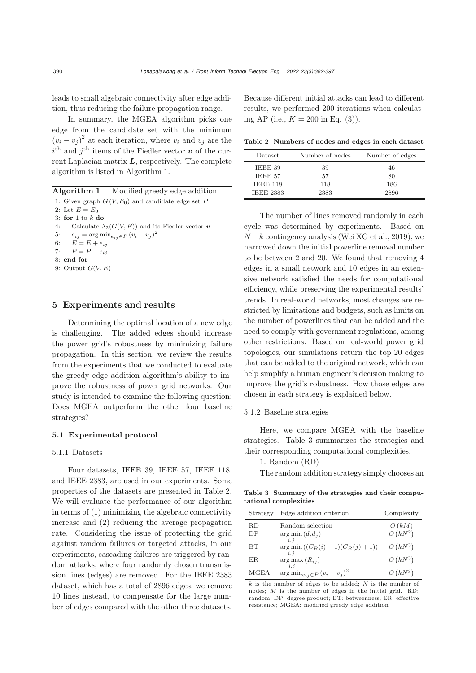leads to small algebraic connectivity after edge addition, thus reducing the failure propagation range.

In summary, the MGEA algorithm picks one edge from the candidate set with the minimum  $(v_i - v_j)^2$  at each iteration, where  $v_i$  and  $v_j$  are the  $i^{\text{th}}$  and  $j^{\text{th}}$  items of the Fiedler vector  $\boldsymbol{v}$  of the current Laplacian matrix *L*, respectively. The complete algorithm is listed in Algorithm 1.

|                                                      | <b>Algorithm 1</b> Modified greedy edge addition        |
|------------------------------------------------------|---------------------------------------------------------|
|                                                      | 1: Given graph $G(V, E_0)$ and candidate edge set P     |
| 2: Let $E = E_0$                                     |                                                         |
| 3: for 1 to $k$ do                                   |                                                         |
| 4:                                                   | Calculate $\lambda_2(G(V, E))$ and its Fiedler vector v |
| 5: $e_{ij} = \arg \min_{e_{ij} \in P} (v_i - v_j)^2$ |                                                         |
| 6: $E = E + e_{ii}$                                  |                                                         |
| 7: $P = P - e_{ii}$                                  |                                                         |
| 8: end for                                           |                                                         |
| 9: Output $G(V, E)$                                  |                                                         |
|                                                      |                                                         |

## <span id="page-8-0"></span>5 Experiments and results

Determining the optimal location of a new edge is challenging. The added edges should increase the power grid's robustness by minimizing failure propagation. In this section, we review the results from the experiments that we conducted to evaluate the greedy edge addition algorithm's ability to improve the robustness of power grid networks. Our study is intended to examine the following question: Does MGEA outperform the other four baseline strategies?

## 5.1 Experimental protocol

#### 5.1.1 Datasets

Four datasets, IEEE 39, IEEE 57, IEEE 118, and IEEE 2383, are used in our experiments. Some properties of the datasets are presented in Table [2.](#page-8-1) We will evaluate the performance of our algorithm in terms of (1) minimizing the algebraic connectivity increase and (2) reducing the average propagation rate. Considering the issue of protecting the grid against random failures or targeted attacks, in our experiments, cascading failures are triggered by random attacks, where four randomly chosen transmission lines (edges) are removed. For the IEEE 2383 dataset, which has a total of 2896 edges, we remove 10 lines instead, to compensate for the large number of edges compared with the other three datasets.

Because different initial attacks can lead to different results, we performed 200 iterations when calculating AP (i.e.,  $K = 200$  in Eq. [\(3\)](#page-4-2)).

<span id="page-8-1"></span>Table 2 Numbers of nodes and edges in each dataset

| Dataset          | Number of nodes | Number of edges |
|------------------|-----------------|-----------------|
| IEEE 39          | 39              | 46              |
| IEEE 57          | 57              | 80              |
| <b>IEEE 118</b>  | 118             | 186             |
| <b>IEEE 2383</b> | 2383            | 2896            |

The number of lines removed randomly in each cycle was determined by experiments. Based on  $N-k$  contingency analysis [\(Wei XG et al.](#page-15-18), [2019\)](#page-15-18), we narrowed down the initial powerline removal number to be between 2 and 20. We found that removing 4 edges in a small network and 10 edges in an extensive network satisfied the needs for computational efficiency, while preserving the experimental results' trends. In real-world networks, most changes are restricted by limitations and budgets, such as limits on the number of powerlines that can be added and the need to comply with government regulations, among other restrictions. Based on real-world power grid topologies, our simulations return the top 20 edges that can be added to the original network, which can help simplify a human engineer's decision making to improve the grid's robustness. How those edges are chosen in each strategy is explained below.

#### 5.1.2 Baseline strategies

Here, we compare MGEA with the baseline strategies. Table [3](#page-8-2) summarizes the strategies and their corresponding computational complexities.

#### 1. Random (RD)

<span id="page-8-2"></span>The random addition strategy simply chooses an

Table 3 Summary of the strategies and their computational complexities

| Strategy                                                 | Edge addition criterion                          | Complexity |  |  |  |  |  |
|----------------------------------------------------------|--------------------------------------------------|------------|--|--|--|--|--|
| RD                                                       | Random selection                                 | O(kM)      |  |  |  |  |  |
| DP                                                       | $arg min(d_i d_j)$<br>$i \, i$                   | $O(kN^2)$  |  |  |  |  |  |
| <b>BT</b>                                                | $arg min ((C_B(i) + 1)(C_B(j) + 1))$<br>$i \, i$ | $O(kN^3)$  |  |  |  |  |  |
| ER.                                                      | $arg max (R_{ij})$<br>$i \, i$                   | $O(kN^3)$  |  |  |  |  |  |
| MGEA                                                     | $\arg\min_{e_{ij}\in P} (v_i - v_j)^2$           | $O(kN^3)$  |  |  |  |  |  |
| k is the number of edges to be added; N is the number of |                                                  |            |  |  |  |  |  |

nodes: *M* is the number of edges in the initial grid. RD: random; DP: degree product; BT: betweenness; ER: effective resistance; MGEA: modified greedy edge addition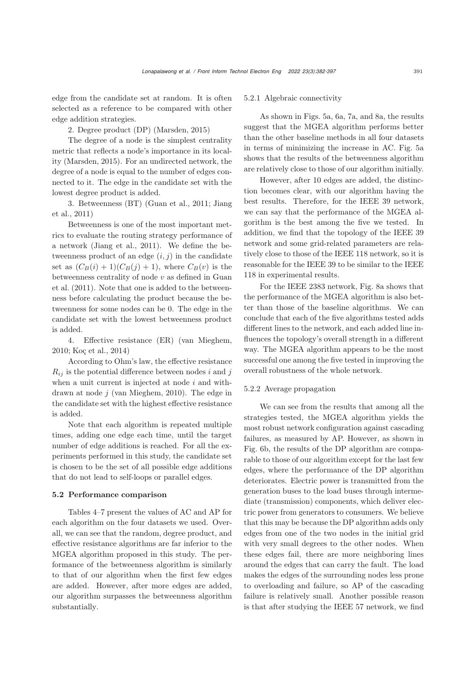edge from the candidate set at random. It is often selected as a reference to be compared with other edge addition strategies.

2. Degree product (DP) [\(Marsden](#page-14-13), [2015](#page-14-13))

The degree of a node is the simplest centrality metric that reflects a node's importance in its locality [\(Marsden](#page-14-13), [2015\)](#page-14-13). For an undirected network, the degree of a node is equal to the number of edges connected to it. The edge in the candidate set with the lowest degree product is added.

[3.](#page-14-16) [Betweenness](#page-14-16) [\(BT\)](#page-14-16) [\(Guan et al.](#page-14-12)[,](#page-14-16) [2011](#page-14-12)[;](#page-14-16) Jiang et al., [2011\)](#page-14-16)

Betweenness is one of the most important metrics to evaluate the routing strategy performance of a network [\(Jiang et al.](#page-14-16), [2011\)](#page-14-16). We define the betweenness product of an edge  $(i, j)$  in the candidate set as  $(C_B(i) + 1)(C_B(j) + 1)$ , where  $C_B(v)$  is the betw[eenness](#page-14-12) [centrality](#page-14-12) [of](#page-14-12) [node](#page-14-12)  $v$  as defined in Guan et al. [\(2011](#page-14-12)). Note that one is added to the betweenness before calculating the product because the betweenness for some nodes can be 0. The edge in the candidate set with the lowest betweenness product is added.

4. Effective resistance (ER) [\(van Mieghem](#page-15-6), [2010](#page-15-6); [Koç et al., 2014](#page-14-1))

According to Ohm's law, the effective resistance  $R_{ij}$  is the potential difference between nodes i and j when a unit current is injected at node  $i$  and withdrawn at node j [\(van Mieghem](#page-15-6), [2010\)](#page-15-6). The edge in the candidate set with the highest effective resistance is added.

Note that each algorithm is repeated multiple times, adding one edge each time, until the target number of edge additions is reached. For all the experiments performed in this study, the candidate set is chosen to be the set of all possible edge additions that do not lead to self-loops or parallel edges.

## 5.2 Performance comparison

Tables [4](#page-10-0)[–7](#page-11-0) present the values of AC and AP for each algorithm on the four datasets we used. Overall, we can see that the random, degree product, and effective resistance algorithms are far inferior to the MGEA algorithm proposed in this study. The performance of the betweenness algorithm is similarly to that of our algorithm when the first few edges are added. However, after more edges are added, our algorithm surpasses the betweenness algorithm substantially.

#### 5.2.1 Algebraic connectivity

As shown in Figs. [5a](#page-12-0), [6a](#page-12-1), [7a](#page-12-2), and [8a](#page-13-5), the results suggest that the MGEA algorithm performs better than the other baseline methods in all four datasets in terms of minimizing the increase in AC. Fig. [5a](#page-12-0) shows that the results of the betweenness algorithm are relatively close to those of our algorithm initially.

However, after 10 edges are added, the distinction becomes clear, with our algorithm having the best results. Therefore, for the IEEE 39 network, we can say that the performance of the MGEA algorithm is the best among the five we tested. In addition, we find that the topology of the IEEE 39 network and some grid-related parameters are relatively close to those of the IEEE 118 network, so it is reasonable for the IEEE 39 to be similar to the IEEE 118 in experimental results.

For the IEEE 2383 network, Fig. [8a](#page-13-5) shows that the performance of the MGEA algorithm is also better than those of the baseline algorithms. We can conclude that each of the five algorithms tested adds different lines to the network, and each added line influences the topology's overall strength in a different way. The MGEA algorithm appears to be the most successful one among the five tested in improving the overall robustness of the whole network.

## 5.2.2 Average propagation

We can see from the results that among all the strategies tested, the MGEA algorithm yields the most robust network configuration against cascading failures, as measured by AP. However, as shown in Fig. [6b](#page-12-1), the results of the DP algorithm are comparable to those of our algorithm except for the last few edges, where the performance of the DP algorithm deteriorates. Electric power is transmitted from the generation buses to the load buses through intermediate (transmission) components, which deliver electric power from generators to consumers. We believe that this may be because the DP algorithm adds only edges from one of the two nodes in the initial grid with very small degrees to the other nodes. When these edges fail, there are more neighboring lines around the edges that can carry the fault. The load makes the edges of the surrounding nodes less prone to overloading and failure, so AP of the cascading failure is relatively small. Another possible reason is that after studying the IEEE 57 network, we find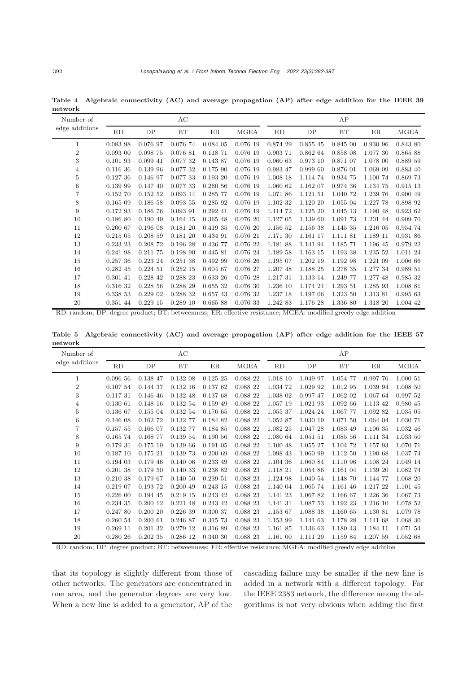| Number of        |            |             | AC       |            |          |          |          | AP       |          |             |
|------------------|------------|-------------|----------|------------|----------|----------|----------|----------|----------|-------------|
| edge additions   | RD         | DP          | BT       | ER         | MGEA     | RD       | DP       | BT       | ER       | <b>MGEA</b> |
| $\mathbf 1$      | 0.083 98   | 0.076 97    | 0.076 74 | 0.084 05   | 0.076 19 | 0.874 29 | 0.855 45 | 0.845 00 | 0.930 96 | 0.843 80    |
| $\boldsymbol{2}$ | $0.093$ 00 | 0.098 75    | 0.076 81 | 0.118 71   | 0.076 19 | 0.903 71 | 0.862 64 | 0.858 08 | 1.077 30 | 0.865 88    |
| 3                | 0.10193    | 0.099 41    | 0.077 32 | 0.143 87   | 0.076 19 | 0.960 63 | 0.973 10 | 0.871 07 | 1.078 00 | 0.889 59    |
| 4                | 0.116 36   | 0.139 96    | 0.077 32 | 0.175 90   | 0.076 19 | 0.983 47 | 0.999 60 | 0.876 01 | 1.069 09 | 0.883 40    |
| 5                | 0.12736    | 0.146 97    | 0.077 33 | 0.19320    | 0.076 19 | 1.008 18 | 1.114 74 | 0.934 75 | 1.100 74 | 0.869 73    |
| 6                | 0.139 99   | 0.147 40    | 0.077 33 | 0.26056    | 0.076 19 | 1.060 62 | 1.162 07 | 0.974 36 | 1.134 75 | 0.915 13    |
| $\overline{7}$   | 0.152 70   | 0.15252     | 0.093 14 | 0.285 77   | 0.076 19 | 1.071 86 | 1.121 51 | 1.040 72 | 1.239 76 | 0.900 49    |
| 8                | 0.16509    | 0.186 58    | 0.09355  | 0.285 92   | 0.076 19 | 1.102 32 | 1.120 20 | 1.055 04 | 1.227 78 | 0.898 92    |
| 9                | 0.172 93   | 0.186 76    | 0.093 91 | $0.292$ 41 | 0.076 19 | 1.114 72 | 1.125 20 | 1.045 13 | 1.190 48 | 0.923 62    |
| 10               | 0.186 80   | 0.190 49    | 0.164 15 | 0.365 48   | 0.076 20 | 1.127 05 | 1.139 60 | 1.091 73 | 1.201 44 | 0.909 70    |
| 11               | 0.200 67   | 0.196 08    | 0.18120  | 0.419 35   | 0.07620  | 1.156 52 | 1.156 38 | 1.145 35 | 1.216 05 | 0.954 74    |
| 12               | 0.21505    | 0.208 59    | 0.18120  | 0.434 91   | 0.076 21 | 1.171 30 | 1.161 17 | 1.111 81 | 1.189 11 | 0.931 86    |
| 13               | 0.233 23   | 0.208 72    | 0.196 28 | 0.436 77   | 0.076 22 | 1.181 88 | 1.141 94 | 1.185 71 | 1.196 45 | 0.979 22    |
| 14               | 0.241 98   | 0.211 75    | 0.198 90 | 0.445 81   | 0.076 24 | 1.189 58 | 1.163 15 | 1.193 38 | 1.235 52 | 1.011 24    |
| 15               | 0.25736    | 0.223 24    | 0.25138  | 0.492 99   | 0.076 26 | 1.195 07 | 1.202 19 | 1.192 98 | 1.221 09 | 1.006 66    |
| 16               | 0.282 45   | $0.224\ 51$ | 0.25215  | 0.604 67   | 0.076 27 | 1.207 48 | 1.188 25 | 1.278 35 | 1.277 34 | 0.989 51    |
| 17               | 0.301 41   | 0.228 42    | 0.288 23 | 0.633 26   | 0.076 28 | 1.217 31 | 1.133 14 | 1.249 77 | 1.277 48 | 0.985 32    |
| 18               | 0.316 32   | 0.22856     | 0.288 29 | 0.655 32   | 0.076 30 | 1.236 10 | 1.174 24 | 1.293 51 | 1.285 93 | 1.008 81    |
| 19               | 0.338 53   | 0.229 02    | 0.288 32 | 0.657 43   | 0.076 32 | 1.237 18 | 1.197 06 | 1.323 50 | 1.313 81 | 0.995 63    |
| 20               | 0.351 44   | 0.22915     | 0.28910  | 0.665 88   | 0.076 33 | 1.242 83 | 1.176 28 | 1.336 80 | 1.318 20 | 1.004 42    |

<span id="page-10-0"></span>Table 4 Algebraic connectivity (AC) and average propagation (AP) after edge addition for the IEEE 39 network

RD: random; DP: degree product; BT: betweenness; ER: effective resistance; MGEA: modified greedy edge addition

Table 5 Algebraic connectivity (AC) and average propagation (AP) after edge addition for the IEEE 57 network

| Number of        | AC          |          |            |          | AP          |          |          |          |          |             |
|------------------|-------------|----------|------------|----------|-------------|----------|----------|----------|----------|-------------|
| edge additions   | RD          | DP       | BT         | ER       | <b>MGEA</b> | RD       | DP       | BT       | ER       | <b>MGEA</b> |
| $\mathbf{1}$     | 0.09656     | 0.138 47 | 0.132 08   | 0.12525  | 0.088 22    | 1.018 10 | 1.049 97 | 1.054 77 | 0.997 76 | 1.000 51    |
| $\boldsymbol{2}$ | 0.107 54    | 0.144 37 | 0.13216    | 0.13762  | 0.088 22    | 1.034 72 | 1.029 92 | 1.012 95 | 1.039 94 | 1.008 50    |
| 3                | 0.11731     | 0.146 46 | 0.132 48   | 0.137 68 | 0.088 22    | 1.038 02 | 0.997 47 | 1.062 02 | 1.067 64 | 0.997 52    |
| $\overline{4}$   | 0.13061     | 0.148 16 | 0.132 54   | 0.159 49 | 0.088 22    | 1.057 19 | 1.021 93 | 1.092 66 | 1.113 42 | 0.980 45    |
| 5                | 0.136 67    | 0.155 04 | 0.132 54   | 0.176 65 | 0.088 22    | 1.055 37 | 1.024 24 | 1.067 77 | 1.092 82 | 1.035 05    |
| 6                | 0.14608     | 0.162 72 | 0.132 77   | 0.184 82 | 0.088 22    | 1.052 87 | 1.030 19 | 1.071 50 | 1.064 04 | 1.030 71    |
| $\overline{7}$   | 0.157 55    | 0.166 07 | 0.132 77   | 0.184 85 | 0.088 22    | 1.082 25 | 1.047 28 | 1.083 49 | 1.106 35 | 1.032 46    |
| 8                | 0.165 74    | 0.168 77 | 0.139 54   | 0.19056  | 0.088 22    | 1.080 64 | 1.051 51 | 1.085 56 | 1.111 34 | 1.033 50    |
| 9                | 0.179 31    | 0.175 19 | 0.139 66   | 0.191 05 | 0.088 22    | 1.100 48 | 1.055 27 | 1.104 72 | 1.157 93 | 1.070 71    |
| 10               | 0.18710     | 0.17521  | 0.139 73   | 0.20069  | 0.088 22    | 1.098 43 | 1.060 99 | 1.112 50 | 1.190 68 | 1.037 74    |
| 11               | 0.194 03    | 0.179 46 | 0.140 06   | 0.233 49 | 0.088 22    | 1.104 36 | 1.060 84 | 1.110 96 | 1.108 24 | 1.049 14    |
| 12               | 0.20138     | 0.179 50 | 0.140 33   | 0.238 82 | 0.088 23    | 1.118 21 | 1.054 86 | 1.161 04 | 1.139 20 | 1.082 74    |
| 13               | 0.210 38    | 0.179 67 | 0.14050    | 0.239 51 | 0.088 23    | 1.124 98 | 1.040 54 | 1.148 70 | 1.144 77 | 1.068 20    |
| 14               | 0.219 07    | 0.193 72 | 0.20049    | 0.243 15 | 0.088 23    | 1.140 04 | 1.065 74 | 1.161 46 | 1.217 22 | 1.101 45    |
| 15               | $0.226\ 00$ | 0.194 45 | 0.21915    | 0.243 42 | 0.088 23    | 1.141 23 | 1.06782  | 1.166 67 | 1.226 36 | 1.067 73    |
| 16               | 0.234 35    | 0.200 12 | $0.221$ 48 | 0.243 42 | 0.088 23    | 1.141 31 | 1.087 53 | 1.192 23 | 1.216 10 | 1.078 52    |
| 17               | 0.247 80    | 0.20020  | 0.22639    | 0.300 37 | 0.088 23    | 1.153 67 | 1.088 38 | 1.160 65 | 1.130 81 | 1.079 78    |
| 18               | 0.260 54    | 0.20061  | 0.246 87   | 0.315 73 | 0.088 23    | 1.153 99 | 1.141 63 | 1.178 28 | 1.141 68 | 1.068 30    |
| 19               | 0.26911     | 0.201 32 | 0.279 12   | 0.316 89 | 0.088 23    | 1.161 85 | 1.136 63 | 1.180 43 | 1.184 11 | 1.071 54    |
| 20               | 0.280 26    | 0.20235  | 0.286 12   | 0.340 30 | 0.088 23    | 1.161 00 | 1.111 29 | 1.159 84 | 1.207 59 | 1.052 68    |

RD: random; DP: degree product; BT: betweenness; ER: effective resistance; MGEA: modified greedy edge addition

that its topology is slightly different from those of other networks. The generators are concentrated in one area, and the generator degrees are very low. When a new line is added to a generator, AP of the cascading failure may be smaller if the new line is added in a network with a different topology. For the IEEE 2383 network, the difference among the algorithms is not very obvious when adding the first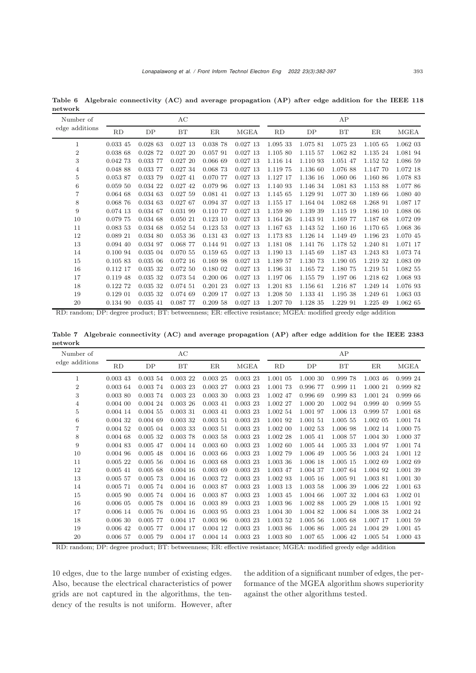Table 6 Algebraic connectivity (AC) and average propagation (AP) after edge addition for the IEEE 118 network

| Number of      |          |            | AC         |            |         |          |          | AP       |          |             |
|----------------|----------|------------|------------|------------|---------|----------|----------|----------|----------|-------------|
| edge additions | RD       | DP         | BT         | ER         | MGEA    | RD       | DP       | BT       | ER       | <b>MGEA</b> |
| 1              | 0.033 45 | 0.02863    | 0.02713    | 0.038 78   | 0.02713 | 1.095 33 | 1.075 81 | 1.075 23 | 1.105 65 | 1.062 03    |
| 2              | 0.038 68 | 0.028 72   | 0.02720    | 0.057 91   | 0.02713 | 1.105 80 | 1.115 57 | 1.062 82 | 1.135 24 | 1.081 94    |
| 3              | 0.042 73 | 0.033 77   | 0.02720    | 0.066 69   | 0.02713 | 1.116 14 | 1.110 93 | 1.051 47 | 1.152 52 | 1.086 59    |
| 4              | 0.048 88 | 0.033 77   | 0.027 34   | 0.068 73   | 0.02713 | 1.119 75 | 1.136 60 | 1.076 88 | 1.147 70 | 1.072 18    |
| 5              | 0.053 87 | 0.033 79   | 0.02741    | 0.070 77   | 0.02713 | 1.127 17 | 1.136 16 | 1.060 06 | 1.160 86 | 1.078 83    |
| 6              | 0.05950  | 0.034 22   | $0.027$ 42 | 0.079 96   | 0.02713 | 1.140 93 | 1.146 34 | 1.081 83 | 1.153 88 | 1.077 86    |
| 7              | 0.06468  | 0.034 63   | 0.02759    | 0.081 41   | 0.02713 | 1.145 65 | 1.129 91 | 1.077 30 | 1.189 66 | 1.080 40    |
| 8              | 0.068 76 | 0.034 63   | 0.02767    | 0.094 37   | 0.02713 | 1.155 17 | 1.164 04 | 1.082 68 | 1.268 91 | 1.087 17    |
| 9              | 0.074 13 | 0.034 67   | 0.031 99   | 0.110 77   | 0.02713 | 1.159 80 | 1.139 39 | 1.115 19 | 1.186 10 | 1.088 06    |
| 10             | 0.079 75 | 0.034 68   | 0.05021    | 0.12310    | 0.02713 | 1.164 26 | 1.143 91 | 1.169 77 | 1.187 68 | 1.072 09    |
| 11             | 0.083 53 | 0.034 68   | 0.05254    | 0.123 53   | 0.02713 | 1.167 63 | 1.143 52 | 1.160 16 | 1.170 65 | 1.068 36    |
| 12             | 0.089 21 | 0.034 80   | 0.053 36   | 0.131 43   | 0.02713 | 1.173 83 | 1.126 14 | 1.149 49 | 1.196 23 | 1.070 45    |
| 13             | 0.094 40 | 0.034 97   | 0.068 77   | 0.144 91   | 0.02713 | 1.181 08 | 1.141 76 | 1.178 52 | 1.240 81 | 1.071 17    |
| 14             | 0.100 94 | 0.035 04   | 0.070 55   | 0.159 65   | 0.02713 | 1.190 13 | 1.145 69 | 1.187 43 | 1.243 83 | 1.073 74    |
| 15             | 0.105 83 | 0.03506    | 0.07216    | 0.169 98   | 0.02713 | 1.189 57 | 1.130 73 | 1.190 05 | 1.219 32 | 1.083 09    |
| 16             | 0.112 17 | 0.035 32   | 0.07250    | 0.180 02   | 0.02713 | 1.196 31 | 1.165 72 | 1.180 75 | 1.219 51 | 1.082 55    |
| 17             | 0.119 48 | 0.035 32   | 0.073 54   | 0.20006    | 0.02713 | 1.197 06 | 1.155 79 | 1.197 06 | 1.218 62 | 1.068 93    |
| 18             | 0.122 72 | 0.035 32   | 0.074 51   | 0.20123    | 0.02713 | 1.201 83 | 1.156 61 | 1.216 87 | 1.249 14 | 1.076 93    |
| 19             | 0.12901  | 0.035 32   | 0.074 69   | $0.209$ 17 | 0.02713 | 1.208 50 | 1.133 41 | 1.195 38 | 1.249 61 | 1.063 03    |
| 20             | 0.134 90 | $0.035$ 41 | 0.087 77   | 0.20958    | 0.02713 | 1.207 70 | 1.128 35 | 1.229 91 | 1.225 49 | 1.062 65    |

RD: random; DP: degree product; BT: betweenness; ER: effective resistance; MGEA: modified greedy edge addition

<span id="page-11-0"></span>Table 7 Algebraic connectivity (AC) and average propagation (AP) after edge addition for the IEEE 2383 network

| Number of      |            |            | AC       |            |             |          |          | AP       |          |             |
|----------------|------------|------------|----------|------------|-------------|----------|----------|----------|----------|-------------|
| edge additions | RD         | DP         | BT       | ER         | <b>MGEA</b> | RD       | DP       | BT       | ER       | <b>MGEA</b> |
| 1              | $0.003$ 43 | 0.003 54   | 0.00322  | 0.00325    | 0.00323     | 1.001 05 | 1.000 30 | 0.999 78 | 1.003 46 | 0.999 24    |
| $\overline{2}$ | 0.00364    | 0.003 74   | 0.00323  | 0.00327    | 0.00323     | 1.001 73 | 0.996 77 | 0.999 11 | 1.000 21 | 0.999 82    |
| 3              | 0.00380    | 0.003 74   | 0.00323  | 0.00330    | 0.00323     | 1.002 47 | 0.996 69 | 0.999 83 | 1.001 24 | 0.999 66    |
| $\overline{4}$ | $0.004$ 00 | 0.004 24   | 0.00326  | $0.003$ 41 | 0.00323     | 1.002 27 | 1.000 20 | 1.002 94 | 0.999 40 | 0.999 55    |
| $\overline{5}$ | 0.004 14   | 0.00455    | 0.00331  | $0.003$ 41 | 0.00323     | 1.002 54 | 1.001 97 | 1.006 13 | 0.999 57 | 1.001 68    |
| $\,6$          | 0.004 32   | 0.004 69   | 0.003 32 | 0.00351    | 0.00323     | 1.001 92 | 1.001 51 | 1.005 55 | 1.002 05 | 1.001 74    |
| $\overline{7}$ | 0.004 52   | 0.00504    | 0.00333  | 0.00351    | 0.00323     | 1.002 00 | 1.002 53 | 1.006 98 | 1.002 14 | 1.000 75    |
| 8              | 0.00468    | 0.00532    | 0.00378  | 0.00358    | 0.00323     | 1.002 28 | 1.005 41 | 1.008 57 | 1.004 30 | 1.000 37    |
| 9              | 0.004 83   | $0.005$ 47 | 0.004 14 | 0.00360    | 0.00323     | 1.002 60 | 1.005 44 | 1.005 33 | 1.004 97 | 1.001 74    |
| 10             | 0.004 96   | 0.00548    | 0.00416  | 0.00366    | 0.00323     | 1.002 79 | 1.006 49 | 1.005 56 | 1.003 24 | 1.001 12    |
| 11             | 0.00522    | 0.00556    | 0.00416  | 0.00368    | 0.00323     | 1.003 36 | 1.006 18 | 1.005 15 | 1.002 69 | 1.002 69    |
| 12             | 0.00541    | 0.00568    | 0.00416  | 0.00369    | 0.00323     | 1.003 47 | 1.004 37 | 1.007 64 | 1.004 92 | 1.001 39    |
| 13             | 0.00557    | 0.00573    | 0.00416  | 0.003 72   | 0.00323     | 1.002 93 | 1.005 16 | 1.005 91 | 1.003 81 | 1.001 30    |
| 14             | 0.00571    | 0.005 74   | 0.00416  | 0.003 87   | 0.00323     | 1.003 13 | 1.003 58 | 1.006 39 | 1.006 22 | 1.001 63    |
| 15             | $0.005$ 90 | 0.005 74   | 0.00416  | 0.003 87   | 0.00323     | 1.003 45 | 1.004 66 | 1.007 32 | 1.004 63 | 1.002 01    |
| 16             | 0.00605    | 0.00578    | 0.00416  | 0.003 89   | 0.00323     | 1.003 96 | 1.002 88 | 1.005 29 | 1.008 15 | 1.001 92    |
| 17             | $0.006$ 14 | 0.00576    | 0.00416  | 0.003 95   | 0.00323     | 1.004 30 | 1.004 82 | 1.006 84 | 1.008 38 | 1.002 24    |
| 18             | 0.00630    | 0.005 77   | 0.004 17 | 0.00396    | 0.00323     | 1.003 52 | 1.005 56 | 1.005 68 | 1.007 17 | 1.001 59    |
| 19             | 0.006 42   | 0.005 77   | 0.004 17 | 0.004 12   | 0.00323     | 1.003 86 | 1.006 86 | 1.005 24 | 1.004 29 | 1.001 45    |
| 20             | 0.006 57   | 0.005 79   | 0.004 17 | 0.004 14   | 0.00323     | 1.003 80 | 1.007 65 | 1.006 42 | 1.005 54 | 1.000 43    |

RD: random; DP: degree product; BT: betweenness; ER: effective resistance; MGEA: modified greedy edge addition

10 edges, due to the large number of existing edges. Also, because the electrical characteristics of power grids are not captured in the algorithms, the tendency of the results is not uniform. However, after

the addition of a significant number of edges, the performance of the MGEA algorithm shows superiority against the other algorithms tested.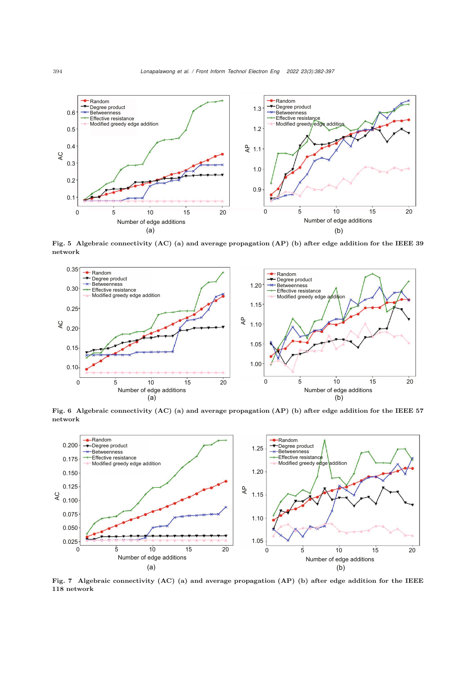

<span id="page-12-0"></span>Fig. 5 Algebraic connectivity (AC) (a) and average propagation (AP) (b) after edge addition for the IEEE 39 network



<span id="page-12-1"></span>Fig. 6 Algebraic connectivity (AC) (a) and average propagation (AP) (b) after edge addition for the IEEE 57 network



<span id="page-12-2"></span>Fig. 7 Algebraic connectivity (AC) (a) and average propagation (AP) (b) after edge addition for the IEEE 118 network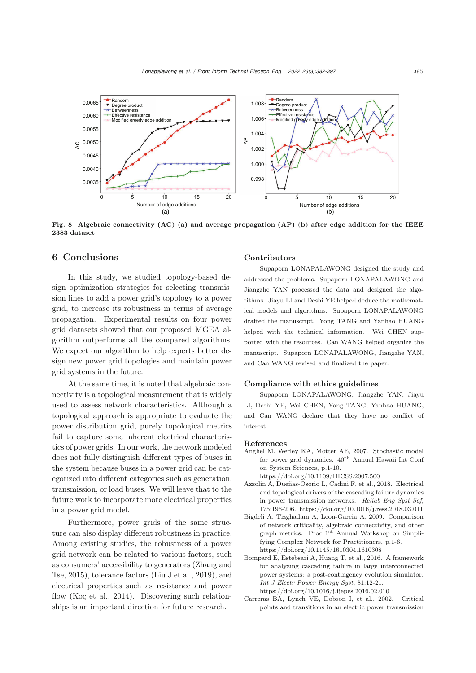

<span id="page-13-5"></span>Fig. 8 Algebraic connectivity (AC) (a) and average propagation (AP) (b) after edge addition for the IEEE 2383 dataset

# 6 Conclusions

In this study, we studied topology-based design optimization strategies for selecting transmission lines to add a power grid's topology to a power grid, to increase its robustness in terms of average propagation. Experimental results on four power grid datasets showed that our proposed MGEA algorithm outperforms all the compared algorithms. We expect our algorithm to help experts better design new power grid topologies and maintain power grid systems in the future.

At the same time, it is noted that algebraic connectivity is a topological measurement that is widely used to assess network characteristics. Although a topological approach is appropriate to evaluate the power distribution grid, purely topological metrics fail to capture some inherent electrical characteristics of power grids. In our work, the network modeled does not fully distinguish different types of buses in the system because buses in a power grid can be categorized into different categories such as generation, transmission, or load buses. We will leave that to the future work to incorporate more electrical properties in a power grid model.

Furthermore, power grids of the same structure can also display different robustness in practice. Among existing studies, the robustness of a power grid network can be related to various factors, such as [consumers'](#page-15-19) [accessibility](#page-15-19) [to](#page-15-19) [generators](#page-15-19) [\(](#page-15-19)Zhang and Tse, [2015\)](#page-15-19), tolerance factors [\(Liu J et al.](#page-14-26), [2019\)](#page-14-26), and electrical properties such as resistance and power flow [\(Koç et al., 2014\)](#page-14-1). Discovering such relationships is an important direction for future research.

## Contributors

Supaporn LONAPALAWONG designed the study and addressed the problems. Supaporn LONAPALAWONG and Jiangzhe YAN processed the data and designed the algorithms. Jiayu LI and Deshi YE helped deduce the mathematical models and algorithms. Supaporn LONAPALAWONG drafted the manuscript. Yong TANG and Yanhao HUANG helped with the technical information. Wei CHEN supported with the resources. Can WANG helped organize the manuscript. Supaporn LONAPALAWONG, Jiangzhe YAN, and Can WANG revised and finalized the paper.

#### Compliance with ethics guidelines

Supaporn LONAPALAWONG, Jiangzhe YAN, Jiayu LI, Deshi YE, Wei CHEN, Yong TANG, Yanhao HUANG, and Can WANG declare that they have no conflict of interest.

#### References

- <span id="page-13-0"></span>Anghel M, Werley KA, Motter AE, 2007. Stochastic model for power grid dynamics.  $40^{th}$  Annual Hawaii Int Conf on System Sciences, p.1-10. https://doi.org/10.1109/HICSS.2007.500
- <span id="page-13-2"></span>Azzolin A, Dueñas-Osorio L, Cadini F, et al., 2018. Electrical and topological drivers of the cascading failure dynamics in power transmission networks. *Reliab Eng Syst Saf*, 175:196-206. https://doi.org/10.1016/j.ress.2018.03.011
- <span id="page-13-3"></span>Bigdeli A, Tizghadam A, Leon-Garcia A, 2009. Comparison of network criticality, algebraic connectivity, and other graph metrics. Proc 1st Annual Workshop on Simplifying Complex Network for Practitioners, p.1-6. https://doi.org/10.1145/1610304.1610308
- <span id="page-13-4"></span>Bompard E, Estebsari A, Huang T, et al., 2016. A framework for analyzing cascading failure in large interconnected power systems: a post-contingency evolution simulator. *Int J Electr Power Energy Syst*, 81:12-21. https://doi.org/10.1016/j.ijepes.2016.02.010
- <span id="page-13-1"></span>Carreras BA, Lynch VE, Dobson I, et al., 2002. Critical points and transitions in an electric power transmission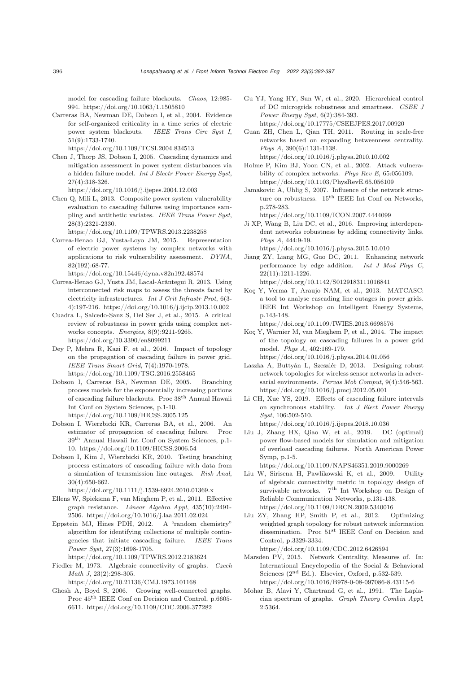model for cascading failure blackouts. *Chaos*, 12:985- 994. https://doi.org/10.1063/1.1505810

<span id="page-14-21"></span>Carreras BA, Newman DE, Dobson I, et al., 2004. Evidence for self-organized criticality in a time series of electric power system blackouts. *IEEE Trans Circ Syst I*, 51(9):1733-1740.

https://doi.org/10.1109/TCSI.2004.834513

<span id="page-14-19"></span>Chen J, Thorp JS, Dobson I, 2005. Cascading dynamics and mitigation assessment in power system disturbances via a hidden failure model. *Int J Electr Power Energy Syst*, 27(4):318-326.

https://doi.org/10.1016/j.ijepes.2004.12.003

<span id="page-14-20"></span>Chen Q, Mili L, 2013. Composite power system vulnerability evaluation to cascading failures using importance sampling and antithetic variates. *IEEE Trans Power Syst*, 28(3):2321-2330.

https://doi.org/10.1109/TPWRS.2013.2238258

- <span id="page-14-9"></span>Correa-Henao GJ, Yusta-Loyo JM, 2015. Representation of electric power systems by complex networks with applications to risk vulnerability assessment. *DYNA*, 82(192):68-77.
- <span id="page-14-11"></span>https://doi.org/10.15446/dyna.v82n192.48574 Correa-Henao GJ, Yusta JM, Lacal-Arántegui R, 2013. Using interconnected risk maps to assess the threats faced by electricity infrastructures. *Int J Crit Infrastr Prot*, 6(3- 4):197-216. https://doi.org/10.1016/j.ijcip.2013.10.002
- <span id="page-14-2"></span>Cuadra L, Salcedo-Sanz S, Del Ser J, et al., 2015. A critical review of robustness in power grids using complex networks concepts. *Energies*, 8(9):9211-9265. https://doi.org/10.3390/en8099211
- <span id="page-14-8"></span>Dey P, Mehra R, Kazi F, et al., 2016. Impact of topology on the propagation of cascading failure in power grid. *IEEE Trans Smart Grid*, 7(4):1970-1978. https://doi.org/10.1109/TSG.2016.2558465
- Dobson I, Carreras BA, Newman DE, 2005. Branching process models for the exponentially increasing portions of cascading failure blackouts. Proc <sup>38</sup>th Annual Hawaii Int Conf on System Sciences, p.1-10. https://doi.org/10.1109/HICSS.2005.125
- <span id="page-14-22"></span>Dobson I, Wierzbicki KR, Carreras BA, et al., 2006. An estimator of propagation of cascading failure. Proc 39th Annual Hawaii Int Conf on System Sciences, p.1- 10. https://doi.org/10.1109/HICSS.2006.54
- Dobson I, Kim J, Wierzbicki KR, 2010. Testing branching process estimators of cascading failure with data from a simulation of transmission line outages. *Risk Anal*, 30(4):650-662.

https://doi.org/10.1111/j.1539-6924.2010.01369.x

- <span id="page-14-14"></span>Ellens W, Spieksma F, van Mieghem P, et al., 2011. Effective graph resistance. *Linear Algebra Appl*, 435(10):2491- 2506. https://doi.org/10.1016/j.laa.2011.02.024
- <span id="page-14-3"></span>Eppstein MJ, Hines PDH, 2012. A "random chemistry" algorithm for identifying collections of multiple contingencies that initiate cascading failure. *IEEE Trans Power Syst*, 27(3):1698-1705. https://doi.org/10.1109/TPWRS.2012.2183624
- <span id="page-14-23"></span>Fiedler M, 1973. Algebraic connectivity of graphs. *Czech Math J*, 23(2):298-305.

https://doi.org/10.21136/CMJ.1973.101168

<span id="page-14-24"></span>Ghosh A, Boyd S, 2006. Growing well-connected graphs. Proc <sup>45</sup>th IEEE Conf on Decision and Control, p.6605- 6611. https://doi.org/10.1109/CDC.2006.377282

- <span id="page-14-0"></span>Gu YJ, Yang HY, Sun W, et al., 2020. Hierarchical control of DC microgrids robustness and smartness. *CSEE J Power Energy Syst*, 6(2):384-393. https://doi.org/10.17775/CSEEJPES.2017.00920
- <span id="page-14-12"></span>Guan ZH, Chen L, Qian TH, 2011. Routing in scale-free networks based on expanding betweenness centrality. *Phys A*, 390(6):1131-1138. https://doi.org/10.1016/j.physa.2010.10.002

<span id="page-14-10"></span>Holme P, Kim BJ, Yoon CN, et al., 2002. Attack vulnerability of complex networks. *Phys Rev E*, 65:056109. https://doi.org/10.1103/PhysRevE.65.056109

- <span id="page-14-15"></span>Jamakovic A, Uhlig S, 2007. Influence of the network structure on robustness. 15<sup>th</sup> IEEE Int Conf on Networks, p.278-283.
- <span id="page-14-17"></span>https://doi.org/10.1109/ICON.2007.4444099 Ji XP, Wang B, Liu DC, et al., 2016. Improving interdependent networks robustness by adding connectivity links. *Phys A*, 444:9-19. https://doi.org/10.1016/j.physa.2015.10.010
- <span id="page-14-16"></span>Jiang ZY, Liang MG, Guo DC, 2011. Enhancing network performance by edge addition. *Int J Mod Phys C*, 22(11):1211-1226.
- <span id="page-14-4"></span>https://doi.org/10.1142/S0129183111016841 Koç Y, Verma T, Araujo NAM, et al., 2013. MATCASC: a tool to analyse cascading line outages in power grids. IEEE Int Workshop on Intelligent Energy Systems, p.143-148.

https://doi.org/10.1109/IWIES.2013.6698576

- <span id="page-14-1"></span>Koç Y, Warnier M, van Mieghem P, et al., 2014. The impact of the topology on cascading failures in a power grid model. *Phys A*, 402:169-179. https://doi.org/10.1016/j.physa.2014.01.056
- <span id="page-14-7"></span>Laszka A, Buttyán L, Szeszlér D, 2013. Designing robust network topologies for wireless sensor networks in adversarial environments. *Pervas Mob Comput*, 9(4):546-563. https://doi.org/10.1016/j.pmcj.2012.05.001
- <span id="page-14-18"></span>Li CH, Xue YS, 2019. Effects of cascading failure intervals on synchronous stability. *Int J Elect Power Energy Syst*, 106:502-510. https://doi.org/10.1016/j.ijepes.2018.10.036

<span id="page-14-26"></span>Liu J, Zhang HX, Qiao W, et al., 2019. DC (optimal) power flow-based models for simulation and mitigation of overload cascading failures. North American Power Symp, p.1-5.

https://doi.org/10.1109/NAPS46351.2019.9000269

- <span id="page-14-5"></span>Liu W, Sirisena H, Pawlikowski K, et al., 2009. Utility of algebraic connectivity metric in topology design of survivable networks. <sup>7</sup>th Int Workshop on Design of Reliable Communication Networks, p.131-138. https://doi.org/10.1109/DRCN.2009.5340016
- <span id="page-14-6"></span>Liu ZY, Zhang HP, Smith P, et al., 2012. Optimizing weighted graph topology for robust network information dissemination. Proc <sup>51</sup>st IEEE Conf on Decision and Control, p.3329-3334.

https://doi.org/10.1109/CDC.2012.6426594

- <span id="page-14-13"></span>Marsden PV, 2015. Network Centrality, Measures of. In: International Encyclopedia of the Social & Behavioral Sciences (2<sup>nd</sup> Ed.). Elsevier, Oxford, p.532-539. https://doi.org/10.1016/B978-0-08-097086-8.43115-6
- <span id="page-14-25"></span>Mohar B, Alavi Y, Chartrand G, et al., 1991. The Laplacian spectrum of graphs. *Graph Theory Combin Appl*, 2:5364.